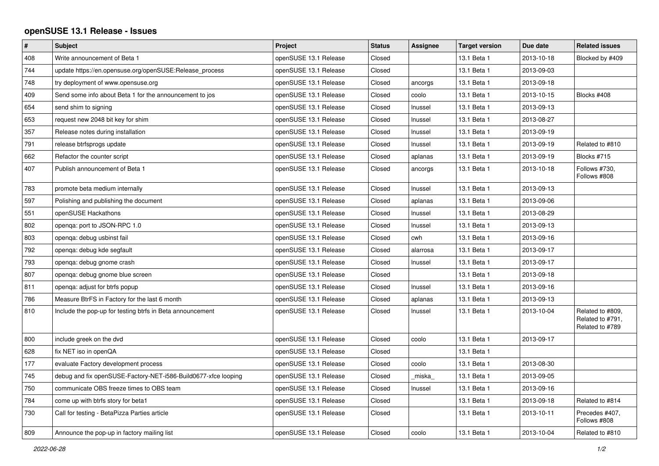## **openSUSE 13.1 Release - Issues**

| $\vert$ # | <b>Subject</b>                                                 | Project               | <b>Status</b> | Assignee | <b>Target version</b> | Due date   | <b>Related issues</b>                                   |
|-----------|----------------------------------------------------------------|-----------------------|---------------|----------|-----------------------|------------|---------------------------------------------------------|
| 408       | Write announcement of Beta 1                                   | openSUSE 13.1 Release | Closed        |          | 13.1 Beta 1           | 2013-10-18 | Blocked by #409                                         |
| 744       | update https://en.opensuse.org/openSUSE:Release_process        | openSUSE 13.1 Release | Closed        |          | 13.1 Beta 1           | 2013-09-03 |                                                         |
| 748       | try deployment of www.opensuse.org                             | openSUSE 13.1 Release | Closed        | ancorgs  | 13.1 Beta 1           | 2013-09-18 |                                                         |
| 409       | Send some info about Beta 1 for the announcement to jos        | openSUSE 13.1 Release | Closed        | coolo    | 13.1 Beta 1           | 2013-10-15 | Blocks #408                                             |
| 654       | send shim to signing                                           | openSUSE 13.1 Release | Closed        | Inussel  | 13.1 Beta 1           | 2013-09-13 |                                                         |
| 653       | request new 2048 bit key for shim                              | openSUSE 13.1 Release | Closed        | Inussel  | 13.1 Beta 1           | 2013-08-27 |                                                         |
| 357       | Release notes during installation                              | openSUSE 13.1 Release | Closed        | Inussel  | 13.1 Beta 1           | 2013-09-19 |                                                         |
| 791       | release btrfsprogs update                                      | openSUSE 13.1 Release | Closed        | Inussel  | 13.1 Beta 1           | 2013-09-19 | Related to #810                                         |
| 662       | Refactor the counter script                                    | openSUSE 13.1 Release | Closed        | aplanas  | 13.1 Beta 1           | 2013-09-19 | Blocks #715                                             |
| 407       | Publish announcement of Beta 1                                 | openSUSE 13.1 Release | Closed        | ancorgs  | 13.1 Beta 1           | 2013-10-18 | Follows #730,<br>Follows #808                           |
| 783       | promote beta medium internally                                 | openSUSE 13.1 Release | Closed        | Inussel  | 13.1 Beta 1           | 2013-09-13 |                                                         |
| 597       | Polishing and publishing the document                          | openSUSE 13.1 Release | Closed        | aplanas  | 13.1 Beta 1           | 2013-09-06 |                                                         |
| 551       | openSUSE Hackathons                                            | openSUSE 13.1 Release | Closed        | Inussel  | 13.1 Beta 1           | 2013-08-29 |                                                         |
| 802       | openga: port to JSON-RPC 1.0                                   | openSUSE 13.1 Release | Closed        | Inussel  | 13.1 Beta 1           | 2013-09-13 |                                                         |
| 803       | openqa: debug usbinst fail                                     | openSUSE 13.1 Release | Closed        | cwh      | 13.1 Beta 1           | 2013-09-16 |                                                         |
| 792       | openqa: debug kde segfault                                     | openSUSE 13.1 Release | Closed        | alarrosa | 13.1 Beta 1           | 2013-09-17 |                                                         |
| 793       | openqa: debug gnome crash                                      | openSUSE 13.1 Release | Closed        | Inussel  | 13.1 Beta 1           | 2013-09-17 |                                                         |
| 807       | openqa: debug gnome blue screen                                | openSUSE 13.1 Release | Closed        |          | 13.1 Beta 1           | 2013-09-18 |                                                         |
| 811       | openqa: adjust for btrfs popup                                 | openSUSE 13.1 Release | Closed        | Inussel  | 13.1 Beta 1           | 2013-09-16 |                                                         |
| 786       | Measure BtrFS in Factory for the last 6 month                  | openSUSE 13.1 Release | Closed        | aplanas  | 13.1 Beta 1           | 2013-09-13 |                                                         |
| 810       | Include the pop-up for testing btrfs in Beta announcement      | openSUSE 13.1 Release | Closed        | Inussel  | 13.1 Beta 1           | 2013-10-04 | Related to #809.<br>Related to #791,<br>Related to #789 |
| 800       | include greek on the dvd                                       | openSUSE 13.1 Release | Closed        | coolo    | 13.1 Beta 1           | 2013-09-17 |                                                         |
| 628       | fix NET iso in openQA                                          | openSUSE 13.1 Release | Closed        |          | 13.1 Beta 1           |            |                                                         |
| 177       | evaluate Factory development process                           | openSUSE 13.1 Release | Closed        | coolo    | 13.1 Beta 1           | 2013-08-30 |                                                         |
| 745       | debug and fix openSUSE-Factory-NET-i586-Build0677-xfce looping | openSUSE 13.1 Release | Closed        | miska    | 13.1 Beta 1           | 2013-09-05 |                                                         |
| 750       | communicate OBS freeze times to OBS team                       | openSUSE 13.1 Release | Closed        | Inussel  | 13.1 Beta 1           | 2013-09-16 |                                                         |
| 784       | come up with btrfs story for beta1                             | openSUSE 13.1 Release | Closed        |          | 13.1 Beta 1           | 2013-09-18 | Related to #814                                         |
| 730       | Call for testing - BetaPizza Parties article                   | openSUSE 13.1 Release | Closed        |          | 13.1 Beta 1           | 2013-10-11 | Precedes #407,<br>Follows #808                          |
| 809       | Announce the pop-up in factory mailing list                    | openSUSE 13.1 Release | Closed        | coolo    | 13.1 Beta 1           | 2013-10-04 | Related to #810                                         |